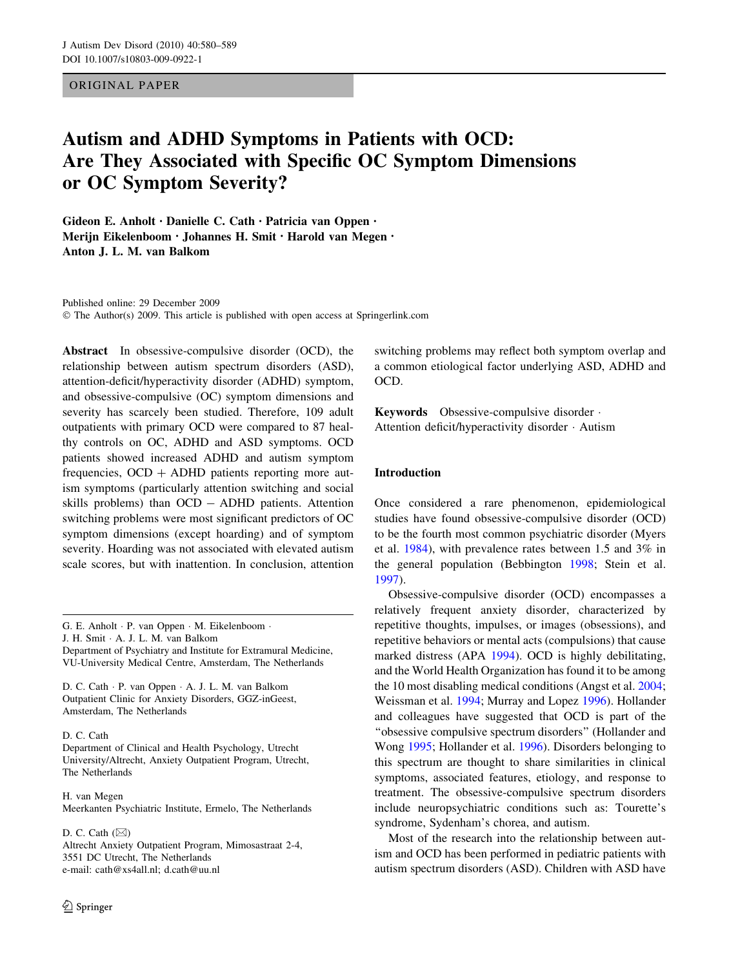# ORIGINAL PAPER

# Autism and ADHD Symptoms in Patients with OCD: Are They Associated with Specific OC Symptom Dimensions or OC Symptom Severity?

Gideon E. Anholt • Danielle C. Cath • Patricia van Oppen • Merijn Eikelenboom • Johannes H. Smit • Harold van Megen • Anton J. L. M. van Balkom

Published online: 29 December 2009  $\odot$  The Author(s) 2009. This article is published with open access at Springerlink.com

Abstract In obsessive-compulsive disorder (OCD), the relationship between autism spectrum disorders (ASD), attention-deficit/hyperactivity disorder (ADHD) symptom, and obsessive-compulsive (OC) symptom dimensions and severity has scarcely been studied. Therefore, 109 adult outpatients with primary OCD were compared to 87 healthy controls on OC, ADHD and ASD symptoms. OCD patients showed increased ADHD and autism symptom frequencies,  $OCD + ADHD$  patients reporting more autism symptoms (particularly attention switching and social skills problems) than OCD - ADHD patients. Attention switching problems were most significant predictors of OC symptom dimensions (except hoarding) and of symptom severity. Hoarding was not associated with elevated autism scale scores, but with inattention. In conclusion, attention

G. E. Anholt · P. van Oppen · M. Eikelenboom ·

J. H. Smit · A. J. L. M. van Balkom

Department of Psychiatry and Institute for Extramural Medicine, VU-University Medical Centre, Amsterdam, The Netherlands

D. C. Cath · P. van Oppen · A. J. L. M. van Balkom Outpatient Clinic for Anxiety Disorders, GGZ-inGeest, Amsterdam, The Netherlands

D. C. Cath

Department of Clinical and Health Psychology, Utrecht University/Altrecht, Anxiety Outpatient Program, Utrecht, The Netherlands

H. van Megen Meerkanten Psychiatric Institute, Ermelo, The Netherlands

D. C. Cath  $(\boxtimes)$ Altrecht Anxiety Outpatient Program, Mimosastraat 2-4, 3551 DC Utrecht, The Netherlands e-mail: cath@xs4all.nl; d.cath@uu.nl

switching problems may reflect both symptom overlap and a common etiological factor underlying ASD, ADHD and OCD.

Keywords Obsessive-compulsive disorder · Attention deficit/hyperactivity disorder · Autism

# Introduction

Once considered a rare phenomenon, epidemiological studies have found obsessive-compulsive disorder (OCD) to be the fourth most common psychiatric disorder (Myers et al. [1984\)](#page-9-0), with prevalence rates between 1.5 and 3% in the general population (Bebbington [1998](#page-8-0); Stein et al. [1997](#page-9-0)).

Obsessive-compulsive disorder (OCD) encompasses a relatively frequent anxiety disorder, characterized by repetitive thoughts, impulses, or images (obsessions), and repetitive behaviors or mental acts (compulsions) that cause marked distress (APA [1994](#page-8-0)). OCD is highly debilitating, and the World Health Organization has found it to be among the 10 most disabling medical conditions (Angst et al. [2004](#page-8-0); Weissman et al. [1994;](#page-9-0) Murray and Lopez [1996\)](#page-9-0). Hollander and colleagues have suggested that OCD is part of the "obsessive compulsive spectrum disorders" (Hollander and Wong [1995](#page-8-0); Hollander et al. [1996\)](#page-8-0). Disorders belonging to this spectrum are thought to share similarities in clinical symptoms, associated features, etiology, and response to treatment. The obsessive-compulsive spectrum disorders include neuropsychiatric conditions such as: Tourette's syndrome, Sydenham's chorea, and autism.

Most of the research into the relationship between autism and OCD has been performed in pediatric patients with autism spectrum disorders (ASD). Children with ASD have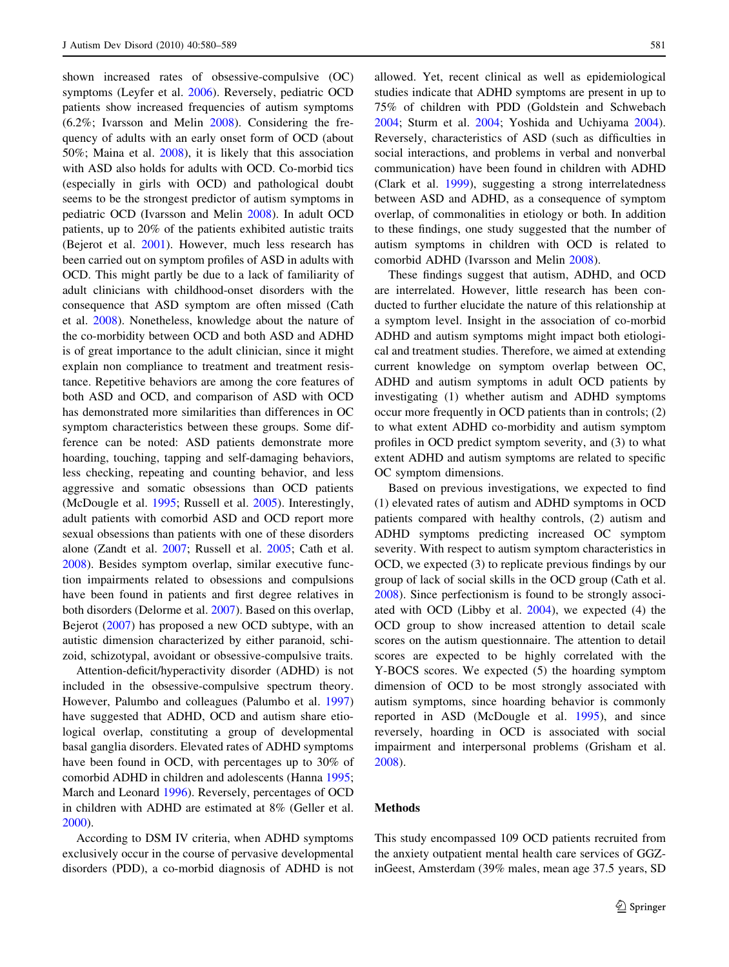shown increased rates of obsessive-compulsive (OC) symptoms (Leyfer et al. [2006\)](#page-9-0). Reversely, pediatric OCD patients show increased frequencies of autism symptoms (6.2%; Ivarsson and Melin [2008\)](#page-8-0). Considering the frequency of adults with an early onset form of OCD (about 50%; Maina et al. [2008](#page-9-0)), it is likely that this association with ASD also holds for adults with OCD. Co-morbid tics (especially in girls with OCD) and pathological doubt seems to be the strongest predictor of autism symptoms in pediatric OCD (Ivarsson and Melin [2008](#page-8-0)). In adult OCD patients, up to 20% of the patients exhibited autistic traits (Bejerot et al. [2001\)](#page-8-0). However, much less research has been carried out on symptom profiles of ASD in adults with OCD. This might partly be due to a lack of familiarity of adult clinicians with childhood-onset disorders with the consequence that ASD symptom are often missed (Cath et al. [2008](#page-8-0)). Nonetheless, knowledge about the nature of the co-morbidity between OCD and both ASD and ADHD is of great importance to the adult clinician, since it might explain non compliance to treatment and treatment resistance. Repetitive behaviors are among the core features of both ASD and OCD, and comparison of ASD with OCD has demonstrated more similarities than differences in OC symptom characteristics between these groups. Some difference can be noted: ASD patients demonstrate more hoarding, touching, tapping and self-damaging behaviors, less checking, repeating and counting behavior, and less aggressive and somatic obsessions than OCD patients (McDougle et al. [1995](#page-9-0); Russell et al. [2005\)](#page-9-0). Interestingly, adult patients with comorbid ASD and OCD report more sexual obsessions than patients with one of these disorders alone (Zandt et al. [2007;](#page-9-0) Russell et al. [2005](#page-9-0); Cath et al. [2008\)](#page-8-0). Besides symptom overlap, similar executive function impairments related to obsessions and compulsions have been found in patients and first degree relatives in both disorders (Delorme et al. [2007\)](#page-8-0). Based on this overlap, Bejerot [\(2007](#page-8-0)) has proposed a new OCD subtype, with an autistic dimension characterized by either paranoid, schizoid, schizotypal, avoidant or obsessive-compulsive traits.

Attention-deficit/hyperactivity disorder (ADHD) is not included in the obsessive-compulsive spectrum theory. However, Palumbo and colleagues (Palumbo et al. [1997\)](#page-9-0) have suggested that ADHD, OCD and autism share etiological overlap, constituting a group of developmental basal ganglia disorders. Elevated rates of ADHD symptoms have been found in OCD, with percentages up to 30% of comorbid ADHD in children and adolescents (Hanna [1995](#page-8-0); March and Leonard [1996](#page-9-0)). Reversely, percentages of OCD in children with ADHD are estimated at 8% (Geller et al. [2000\)](#page-8-0).

According to DSM IV criteria, when ADHD symptoms exclusively occur in the course of pervasive developmental disorders (PDD), a co-morbid diagnosis of ADHD is not allowed. Yet, recent clinical as well as epidemiological studies indicate that ADHD symptoms are present in up to 75% of children with PDD (Goldstein and Schwebach [2004](#page-8-0); Sturm et al. [2004;](#page-9-0) Yoshida and Uchiyama [2004](#page-9-0)). Reversely, characteristics of ASD (such as difficulties in social interactions, and problems in verbal and nonverbal communication) have been found in children with ADHD (Clark et al. [1999\)](#page-8-0), suggesting a strong interrelatedness between ASD and ADHD, as a consequence of symptom overlap, of commonalities in etiology or both. In addition to these findings, one study suggested that the number of autism symptoms in children with OCD is related to comorbid ADHD (Ivarsson and Melin [2008](#page-8-0)).

These findings suggest that autism, ADHD, and OCD are interrelated. However, little research has been conducted to further elucidate the nature of this relationship at a symptom level. Insight in the association of co-morbid ADHD and autism symptoms might impact both etiological and treatment studies. Therefore, we aimed at extending current knowledge on symptom overlap between OC, ADHD and autism symptoms in adult OCD patients by investigating (1) whether autism and ADHD symptoms occur more frequently in OCD patients than in controls; (2) to what extent ADHD co-morbidity and autism symptom profiles in OCD predict symptom severity, and (3) to what extent ADHD and autism symptoms are related to specific OC symptom dimensions.

Based on previous investigations, we expected to find (1) elevated rates of autism and ADHD symptoms in OCD patients compared with healthy controls, (2) autism and ADHD symptoms predicting increased OC symptom severity. With respect to autism symptom characteristics in OCD, we expected (3) to replicate previous findings by our group of lack of social skills in the OCD group (Cath et al. [2008](#page-8-0)). Since perfectionism is found to be strongly associated with OCD (Libby et al. [2004\)](#page-9-0), we expected (4) the OCD group to show increased attention to detail scale scores on the autism questionnaire. The attention to detail scores are expected to be highly correlated with the Y-BOCS scores. We expected (5) the hoarding symptom dimension of OCD to be most strongly associated with autism symptoms, since hoarding behavior is commonly reported in ASD (McDougle et al. [1995](#page-9-0)), and since reversely, hoarding in OCD is associated with social impairment and interpersonal problems (Grisham et al. [2008](#page-8-0)).

#### Methods

This study encompassed 109 OCD patients recruited from the anxiety outpatient mental health care services of GGZinGeest, Amsterdam (39% males, mean age 37.5 years, SD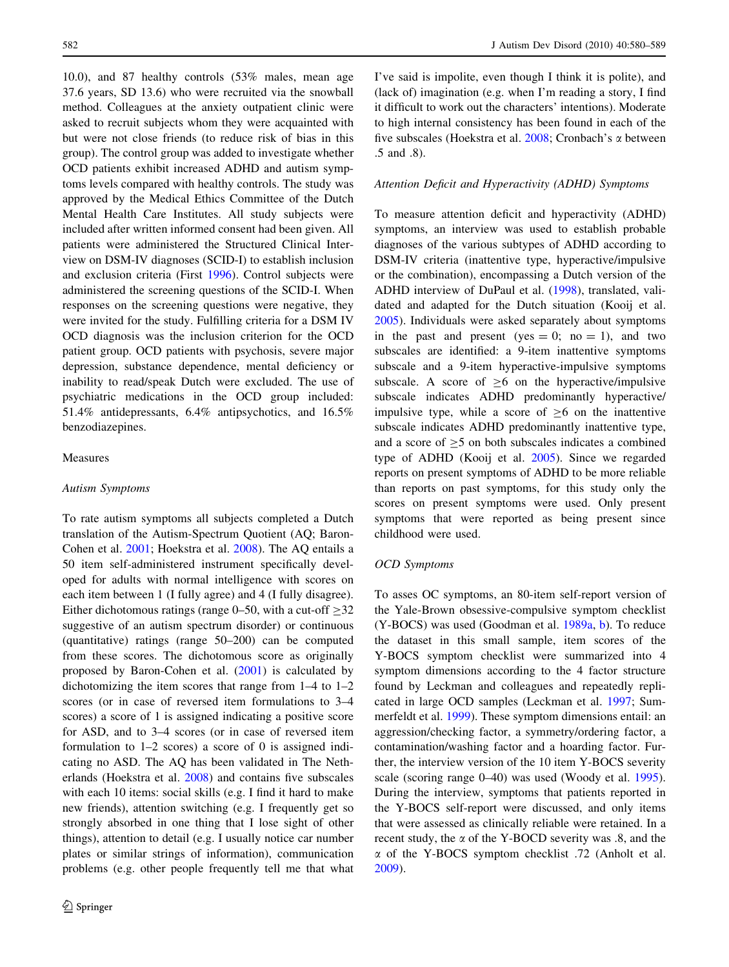10.0), and 87 healthy controls (53% males, mean age 37.6 years, SD 13.6) who were recruited via the snowball method. Colleagues at the anxiety outpatient clinic were asked to recruit subjects whom they were acquainted with but were not close friends (to reduce risk of bias in this group). The control group was added to investigate whether OCD patients exhibit increased ADHD and autism symptoms levels compared with healthy controls. The study was approved by the Medical Ethics Committee of the Dutch Mental Health Care Institutes. All study subjects were included after written informed consent had been given. All patients were administered the Structured Clinical Interview on DSM-IV diagnoses (SCID-I) to establish inclusion and exclusion criteria (First [1996](#page-8-0)). Control subjects were administered the screening questions of the SCID-I. When responses on the screening questions were negative, they were invited for the study. Fulfilling criteria for a DSM IV OCD diagnosis was the inclusion criterion for the OCD patient group. OCD patients with psychosis, severe major depression, substance dependence, mental deficiency or inability to read/speak Dutch were excluded. The use of psychiatric medications in the OCD group included: 51.4% antidepressants, 6.4% antipsychotics, and 16.5% benzodiazepines.

# Measures

#### Autism Symptoms

To rate autism symptoms all subjects completed a Dutch translation of the Autism-Spectrum Quotient (AQ; Baron-Cohen et al. [2001](#page-8-0); Hoekstra et al. [2008\)](#page-8-0). The AQ entails a 50 item self-administered instrument specifically developed for adults with normal intelligence with scores on each item between 1 (I fully agree) and 4 (I fully disagree). Either dichotomous ratings (range 0–50, with a cut-off  $\geq$ 32 suggestive of an autism spectrum disorder) or continuous (quantitative) ratings (range 50–200) can be computed from these scores. The dichotomous score as originally proposed by Baron-Cohen et al. ([2001\)](#page-8-0) is calculated by dichotomizing the item scores that range from 1–4 to 1–2 scores (or in case of reversed item formulations to 3–4 scores) a score of 1 is assigned indicating a positive score for ASD, and to 3–4 scores (or in case of reversed item formulation to 1–2 scores) a score of 0 is assigned indicating no ASD. The AQ has been validated in The Netherlands (Hoekstra et al. [2008\)](#page-8-0) and contains five subscales with each 10 items: social skills (e.g. I find it hard to make new friends), attention switching (e.g. I frequently get so strongly absorbed in one thing that I lose sight of other things), attention to detail (e.g. I usually notice car number plates or similar strings of information), communication problems (e.g. other people frequently tell me that what I've said is impolite, even though I think it is polite), and (lack of) imagination (e.g. when I'm reading a story, I find it difficult to work out the characters' intentions). Moderate to high internal consistency has been found in each of the five subscales (Hoekstra et al.  $2008$ ; Cronbach's  $\alpha$  between .5 and .8).

# Attention Deficit and Hyperactivity (ADHD) Symptoms

To measure attention deficit and hyperactivity (ADHD) symptoms, an interview was used to establish probable diagnoses of the various subtypes of ADHD according to DSM-IV criteria (inattentive type, hyperactive/impulsive or the combination), encompassing a Dutch version of the ADHD interview of DuPaul et al. ([1998\)](#page-8-0), translated, validated and adapted for the Dutch situation (Kooij et al. [2005](#page-9-0)). Individuals were asked separately about symptoms in the past and present (yes  $= 0$ ; no  $= 1$ ), and two subscales are identified: a 9-item inattentive symptoms subscale and a 9-item hyperactive-impulsive symptoms subscale. A score of  $\geq 6$  on the hyperactive/impulsive subscale indicates ADHD predominantly hyperactive/ impulsive type, while a score of  $\geq 6$  on the inattentive subscale indicates ADHD predominantly inattentive type, and a score of  $\geq$ 5 on both subscales indicates a combined type of ADHD (Kooij et al. [2005](#page-9-0)). Since we regarded reports on present symptoms of ADHD to be more reliable than reports on past symptoms, for this study only the scores on present symptoms were used. Only present symptoms that were reported as being present since childhood were used.

#### OCD Symptoms

To asses OC symptoms, an 80-item self-report version of the Yale-Brown obsessive-compulsive symptom checklist (Y-BOCS) was used (Goodman et al. [1989a](#page-8-0), [b\)](#page-8-0). To reduce the dataset in this small sample, item scores of the Y-BOCS symptom checklist were summarized into 4 symptom dimensions according to the 4 factor structure found by Leckman and colleagues and repeatedly replicated in large OCD samples (Leckman et al. [1997](#page-9-0); Summerfeldt et al. [1999\)](#page-9-0). These symptom dimensions entail: an aggression/checking factor, a symmetry/ordering factor, a contamination/washing factor and a hoarding factor. Further, the interview version of the 10 item Y-BOCS severity scale (scoring range 0–40) was used (Woody et al. [1995](#page-9-0)). During the interview, symptoms that patients reported in the Y-BOCS self-report were discussed, and only items that were assessed as clinically reliable were retained. In a recent study, the  $\alpha$  of the Y-BOCD severity was .8, and the  $\alpha$  of the Y-BOCS symptom checklist .72 (Anholt et al. [2009](#page-8-0)).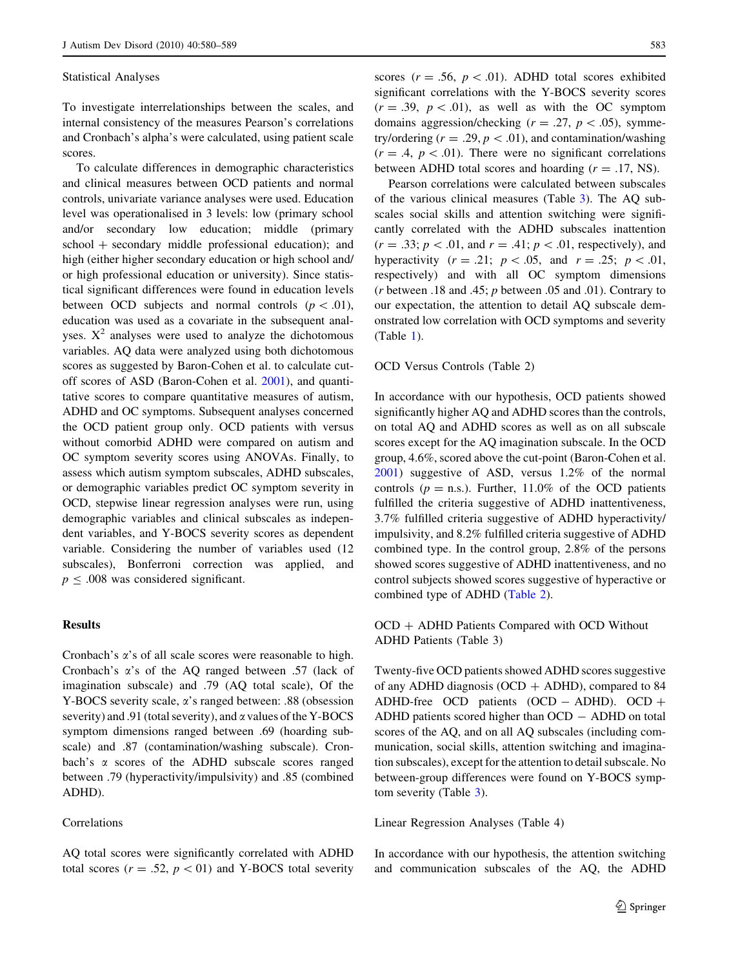#### Statistical Analyses

To investigate interrelationships between the scales, and internal consistency of the measures Pearson's correlations and Cronbach's alpha's were calculated, using patient scale scores.

To calculate differences in demographic characteristics and clinical measures between OCD patients and normal controls, univariate variance analyses were used. Education level was operationalised in 3 levels: low (primary school and/or secondary low education; middle (primary  $school + secondary$  middle professional education); and high (either higher secondary education or high school and/ or high professional education or university). Since statistical significant differences were found in education levels between OCD subjects and normal controls  $(p < 0.01)$ , education was used as a covariate in the subsequent analyses.  $X^2$  analyses were used to analyze the dichotomous variables. AQ data were analyzed using both dichotomous scores as suggested by Baron-Cohen et al. to calculate cutoff scores of ASD (Baron-Cohen et al. [2001\)](#page-8-0), and quantitative scores to compare quantitative measures of autism, ADHD and OC symptoms. Subsequent analyses concerned the OCD patient group only. OCD patients with versus without comorbid ADHD were compared on autism and OC symptom severity scores using ANOVAs. Finally, to assess which autism symptom subscales, ADHD subscales, or demographic variables predict OC symptom severity in OCD, stepwise linear regression analyses were run, using demographic variables and clinical subscales as independent variables, and Y-BOCS severity scores as dependent variable. Considering the number of variables used (12 subscales), Bonferroni correction was applied, and  $p \leq .008$  was considered significant.

# **Results**

Cronbach's  $\alpha$ 's of all scale scores were reasonable to high. Cronbach's  $\alpha$ 's of the AQ ranged between .57 (lack of imagination subscale) and .79 (AQ total scale), Of the Y-BOCS severity scale,  $\alpha$ 's ranged between: .88 (obsession severity) and .91 (total severity), and  $\alpha$  values of the Y-BOCS symptom dimensions ranged between .69 (hoarding subscale) and .87 (contamination/washing subscale). Cronbach's  $\alpha$  scores of the ADHD subscale scores ranged between .79 (hyperactivity/impulsivity) and .85 (combined ADHD).

# Correlations

AQ total scores were significantly correlated with ADHD total scores ( $r = .52$ ,  $p < 01$ ) and Y-BOCS total severity scores ( $r = .56$ ,  $p < .01$ ). ADHD total scores exhibited significant correlations with the Y-BOCS severity scores  $(r = .39, p < .01)$ , as well as with the OC symptom domains aggression/checking  $(r = .27, p < .05)$ , symmetry/ordering  $(r = .29, p < .01)$ , and contamination/washing  $(r = .4, p < .01)$ . There were no significant correlations between ADHD total scores and hoarding  $(r = .17, NS)$ .

Pearson correlations were calculated between subscales of the various clinical measures (Table [3\)](#page-5-0). The AQ subscales social skills and attention switching were significantly correlated with the ADHD subscales inattention  $(r = .33; p < .01,$  and  $r = .41; p < .01$ , respectively), and hyperactivity ( $r = .21$ ;  $p < .05$ , and  $r = .25$ ;  $p < .01$ , respectively) and with all OC symptom dimensions ( $r$  between .18 and .45;  $p$  between .05 and .01). Contrary to our expectation, the attention to detail AQ subscale demonstrated low correlation with OCD symptoms and severity (Table [1\)](#page-4-0).

#### OCD Versus Controls (Table 2)

In accordance with our hypothesis, OCD patients showed significantly higher AQ and ADHD scores than the controls, on total AQ and ADHD scores as well as on all subscale scores except for the AQ imagination subscale. In the OCD group, 4.6%, scored above the cut-point (Baron-Cohen et al. [2001](#page-8-0)) suggestive of ASD, versus 1.2% of the normal controls ( $p =$ n.s.). Further, 11.0% of the OCD patients fulfilled the criteria suggestive of ADHD inattentiveness, 3.7% fulfilled criteria suggestive of ADHD hyperactivity/ impulsivity, and 8.2% fulfilled criteria suggestive of ADHD combined type. In the control group, 2.8% of the persons showed scores suggestive of ADHD inattentiveness, and no control subjects showed scores suggestive of hyperactive or combined type of ADHD [\(Table 2](#page-4-0)).

OCD + ADHD Patients Compared with OCD Without ADHD Patients (Table 3)

Twenty-five OCD patients showed ADHD scores suggestive of any ADHD diagnosis (OCD  $+$  ADHD), compared to 84 ADHD-free OCD patients  $(OCD - ADHD)$ . OCD + ADHD patients scored higher than  $OCD - ADHD$  on total scores of the AQ, and on all AQ subscales (including communication, social skills, attention switching and imagination subscales), except for the attention to detail subscale. No between-group differences were found on Y-BOCS symptom severity (Table [3\)](#page-5-0).

Linear Regression Analyses (Table 4)

In accordance with our hypothesis, the attention switching and communication subscales of the AQ, the ADHD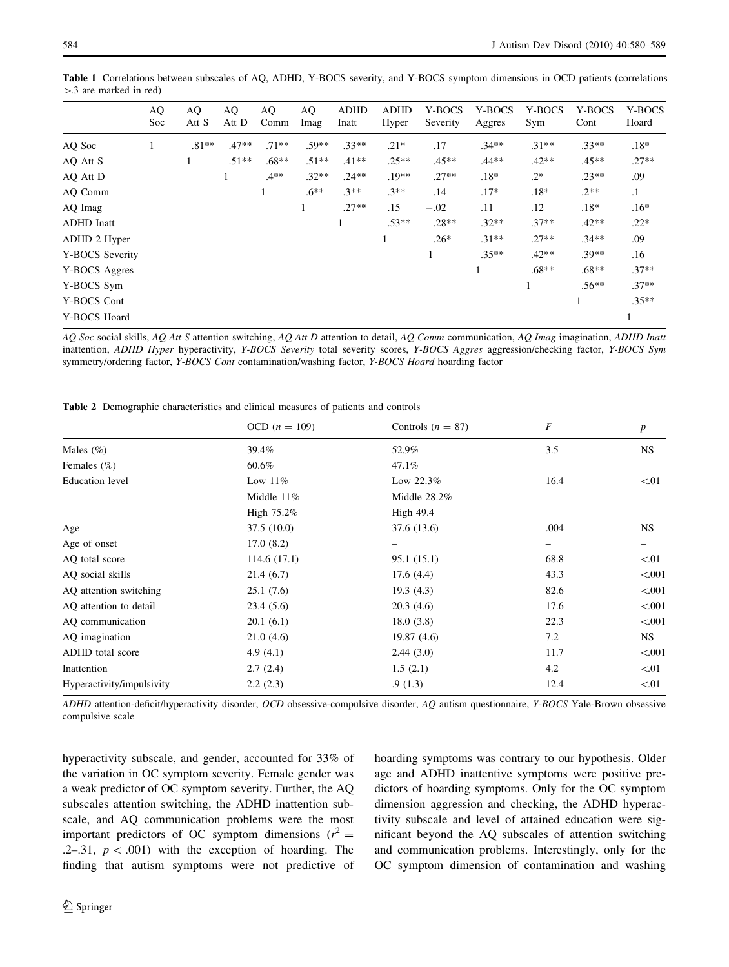<span id="page-4-0"></span>Table 1 Correlations between subscales of AQ, ADHD, Y-BOCS severity, and Y-BOCS symptom dimensions in OCD patients (correlations  $>$ .3 are marked in red)

|                   | AQ<br>Soc | AQ<br>Att S | AQ<br>Att D | AQ<br>Comm | AQ<br>Imag | <b>ADHD</b><br>Inatt | <b>ADHD</b><br>Hyper | Y-BOCS<br>Severity | Y-BOCS<br>Aggres | Y-BOCS<br>Sym | Y-BOCS<br>Cont | Y-BOCS<br>Hoard |
|-------------------|-----------|-------------|-------------|------------|------------|----------------------|----------------------|--------------------|------------------|---------------|----------------|-----------------|
| AQ Soc            |           | $.81**$     | $.47**$     | $.71**$    | .59**      | $.33**$              | $.21*$               | .17                | $.34**$          | $.31**$       | $.33**$        | $.18*$          |
| AQ Att S          |           | $\perp$     | $.51**$     | $.68**$    | $.51**$    | $.41**$              | $.25**$              | $.45**$            | $.44**$          | $.42**$       | $.45**$        | $.27**$         |
| AQ Att D          |           |             | 1.          | $.4**$     | $.32**$    | $.24**$              | $.19**$              | $.27**$            | $.18*$           | $.2*$         | $.23**$        | .09             |
| AQ Comm           |           |             |             |            | $.6**$     | $.3**$               | $.3**$               | .14                | $.17*$           | $.18*$        | $.2**$         | $\cdot$         |
| AQ Imag           |           |             |             |            |            | $.27**$              | .15                  | $-.02$             | .11              | .12           | $.18*$         | $.16*$          |
| <b>ADHD</b> Inatt |           |             |             |            |            |                      | $.53**$              | $.28**$            | $.32**$          | $.37**$       | $.42**$        | $.22*$          |
| ADHD 2 Hyper      |           |             |             |            |            |                      |                      | $.26*$             | $.31**$          | $.27**$       | $.34**$        | .09             |
| Y-BOCS Severity   |           |             |             |            |            |                      |                      |                    | $.35**$          | $.42**$       | $.39**$        | .16             |
| Y-BOCS Aggres     |           |             |             |            |            |                      |                      |                    |                  | $.68**$       | $.68**$        | $.37**$         |
| Y-BOCS Sym        |           |             |             |            |            |                      |                      |                    |                  | $\mathbf{1}$  | $.56**$        | $.37**$         |
| Y-BOCS Cont       |           |             |             |            |            |                      |                      |                    |                  |               |                | $.35**$         |
| Y-BOCS Hoard      |           |             |             |            |            |                      |                      |                    |                  |               |                |                 |

AQ Soc social skills, AQ Att S attention switching, AQ Att D attention to detail, AQ Comm communication, AQ Imag imagination, ADHD Inatt inattention, ADHD Hyper hyperactivity, Y-BOCS Severity total severity scores, Y-BOCS Aggres aggression/checking factor, Y-BOCS Sym symmetry/ordering factor, Y-BOCS Cont contamination/washing factor, Y-BOCS Hoard hoarding factor

Table 2 Demographic characteristics and clinical measures of patients and controls

|                           | OCD $(n = 109)$ | Controls $(n = 87)$ | $\boldsymbol{F}$ | $\boldsymbol{p}$ |  |
|---------------------------|-----------------|---------------------|------------------|------------------|--|
| Males $(\%)$              | 39.4%           | 52.9%               | 3.5              | <b>NS</b>        |  |
| Females $(\% )$           | 60.6%           | 47.1%               |                  |                  |  |
| <b>Education</b> level    | Low $11\%$      | Low $22.3\%$        | 16.4             | < 01             |  |
|                           | Middle $11\%$   | Middle $28.2\%$     |                  |                  |  |
|                           | High $75.2\%$   | High $49.4$         |                  |                  |  |
| Age                       | 37.5(10.0)      | 37.6 (13.6)         | .004             | <b>NS</b>        |  |
| Age of onset              | 17.0(8.2)       |                     | -                |                  |  |
| AQ total score            | 114.6(17.1)     | 95.1 (15.1)         | 68.8             | < 01             |  |
| AQ social skills          | 21.4(6.7)       | 17.6(4.4)           | 43.3             | < 0.001          |  |
| AQ attention switching    | 25.1(7.6)       | 19.3(4.3)           | 82.6             | < 0.001          |  |
| AQ attention to detail    | 23.4(5.6)       | 20.3(4.6)           | 17.6             | < 0.001          |  |
| AO communication          | 20.1(6.1)       | 18.0(3.8)           | 22.3             | < 0.001          |  |
| AQ imagination            | 21.0(4.6)       | 19.87(4.6)          | 7.2              | NS.              |  |
| ADHD total score          | 4.9 $(4.1)$     | 2.44(3.0)           | 11.7             | < 0.001          |  |
| Inattention               | 2.7(2.4)        | 1.5(2.1)            | 4.2              | < 01             |  |
| Hyperactivity/impulsivity | 2.2(2.3)        | .9(1.3)             | 12.4             | < 01             |  |

ADHD attention-deficit/hyperactivity disorder, OCD obsessive-compulsive disorder, AQ autism questionnaire, Y-BOCS Yale-Brown obsessive compulsive scale

hyperactivity subscale, and gender, accounted for 33% of the variation in OC symptom severity. Female gender was a weak predictor of OC symptom severity. Further, the AQ subscales attention switching, the ADHD inattention subscale, and AQ communication problems were the most important predictors of OC symptom dimensions  $(r^2 =$ .2–.31,  $p < .001$ ) with the exception of hoarding. The finding that autism symptoms were not predictive of hoarding symptoms was contrary to our hypothesis. Older age and ADHD inattentive symptoms were positive predictors of hoarding symptoms. Only for the OC symptom dimension aggression and checking, the ADHD hyperactivity subscale and level of attained education were significant beyond the AQ subscales of attention switching and communication problems. Interestingly, only for the OC symptom dimension of contamination and washing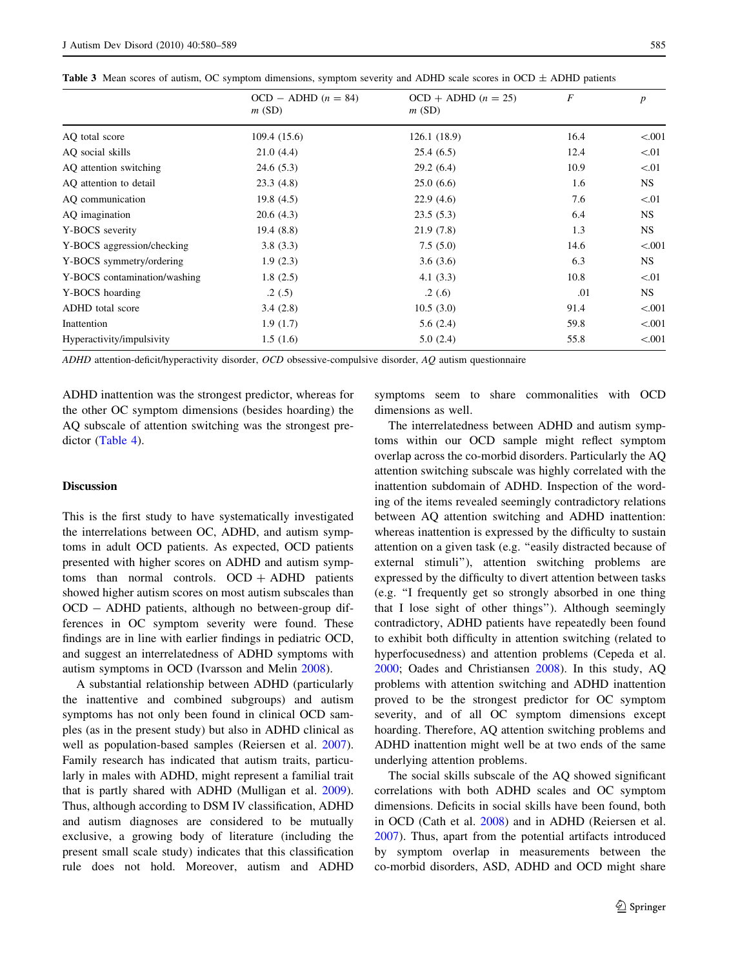| <b>Table 5</b> Mean scores of autism, OC symptom dimensions, symptom severity and ADHD scale scores in OCD $\pm$ ADHD patients |                                |                                |      |         |  |  |  |
|--------------------------------------------------------------------------------------------------------------------------------|--------------------------------|--------------------------------|------|---------|--|--|--|
|                                                                                                                                | $OCD - ADHD (n = 84)$<br>m(SD) | $OCD + ADHD (n = 25)$<br>m(SD) | F    |         |  |  |  |
| AO total score                                                                                                                 | 109.4(15.6)                    | 126.1(18.9)                    | 16.4 | < 0.001 |  |  |  |
| AO social skills                                                                                                               | 21.0(4.4)                      | 25.4(6.5)                      | 12.4 | < 01    |  |  |  |
| AQ attention switching                                                                                                         | 24.6(5.3)                      | 29.2(6.4)                      | 10.9 | < 01    |  |  |  |
| AO attention to detail                                                                                                         | 23.3(4.8)                      | 25.0(6.6)                      | 1.6  | NS.     |  |  |  |
| AO communication                                                                                                               | 19.8(4.5)                      | 22.9(4.6)                      | 7.6  | < 01    |  |  |  |
| AQ imagination                                                                                                                 | 20.6(4.3)                      | 23.5(5.3)                      | 6.4  | NS.     |  |  |  |

Y-BOCS severity 19.4 (8.8) 21.9 (7.8) 1.3 NS Y-BOCS aggression/checking 3.8 (3.3) 7.5 (5.0) 14.6 < 001 Y-BOCS symmetry/ordering 1.9 (2.3) 3.6 (3.6) 6.3 NS Y-BOCS contamination/washing  $1.8 (2.5)$   $4.1 (3.3)$   $10.8$   $< 01$ Y-BOCS hoarding .2 (.5) .2 .6) .2 .6) .01 NS ADHD total score  $3.4 \text{ } (2.8)$   $3.4 \text{ } (2.8)$   $10.5 \text{ } (3.0)$   $91.4$   $\lt$  001  $1.9 \t(1.7)$   $5.6 \t(2.4)$   $59.8$   $\lt.001$ Hyperactivity/impulsivity 1.5 (1.6) 5.0 (2.4) 55.8 < .001

<span id="page-5-0"></span>Table 3 Mean scores of autism, OC symptom dimensions, symptom severity and ADHD scale scores in OCD  $\pm$  ADHD patients

ADHD attention-deficit/hyperactivity disorder, OCD obsessive-compulsive disorder, AQ autism questionnaire

ADHD inattention was the strongest predictor, whereas for the other OC symptom dimensions (besides hoarding) the AQ subscale of attention switching was the strongest predictor [\(Table 4](#page-6-0)).

# Discussion

This is the first study to have systematically investigated the interrelations between OC, ADHD, and autism symptoms in adult OCD patients. As expected, OCD patients presented with higher scores on ADHD and autism symptoms than normal controls.  $OCD + ADHD$  patients showed higher autism scores on most autism subscales than OCD - ADHD patients, although no between-group differences in OC symptom severity were found. These findings are in line with earlier findings in pediatric OCD, and suggest an interrelatedness of ADHD symptoms with autism symptoms in OCD (Ivarsson and Melin [2008](#page-8-0)).

A substantial relationship between ADHD (particularly the inattentive and combined subgroups) and autism symptoms has not only been found in clinical OCD samples (as in the present study) but also in ADHD clinical as well as population-based samples (Reiersen et al. [2007](#page-9-0)). Family research has indicated that autism traits, particularly in males with ADHD, might represent a familial trait that is partly shared with ADHD (Mulligan et al. [2009](#page-9-0)). Thus, although according to DSM IV classification, ADHD and autism diagnoses are considered to be mutually exclusive, a growing body of literature (including the present small scale study) indicates that this classification rule does not hold. Moreover, autism and ADHD symptoms seem to share commonalities with OCD dimensions as well.

The interrelatedness between ADHD and autism symptoms within our OCD sample might reflect symptom overlap across the co-morbid disorders. Particularly the AQ attention switching subscale was highly correlated with the inattention subdomain of ADHD. Inspection of the wording of the items revealed seemingly contradictory relations between AQ attention switching and ADHD inattention: whereas inattention is expressed by the difficulty to sustain attention on a given task (e.g. ''easily distracted because of external stimuli''), attention switching problems are expressed by the difficulty to divert attention between tasks (e.g. ''I frequently get so strongly absorbed in one thing that I lose sight of other things''). Although seemingly contradictory, ADHD patients have repeatedly been found to exhibit both difficulty in attention switching (related to hyperfocusedness) and attention problems (Cepeda et al. [2000](#page-8-0); Oades and Christiansen [2008\)](#page-9-0). In this study, AQ problems with attention switching and ADHD inattention proved to be the strongest predictor for OC symptom severity, and of all OC symptom dimensions except hoarding. Therefore, AQ attention switching problems and ADHD inattention might well be at two ends of the same underlying attention problems.

The social skills subscale of the AQ showed significant correlations with both ADHD scales and OC symptom dimensions. Deficits in social skills have been found, both in OCD (Cath et al. [2008\)](#page-8-0) and in ADHD (Reiersen et al. [2007](#page-9-0)). Thus, apart from the potential artifacts introduced by symptom overlap in measurements between the co-morbid disorders, ASD, ADHD and OCD might share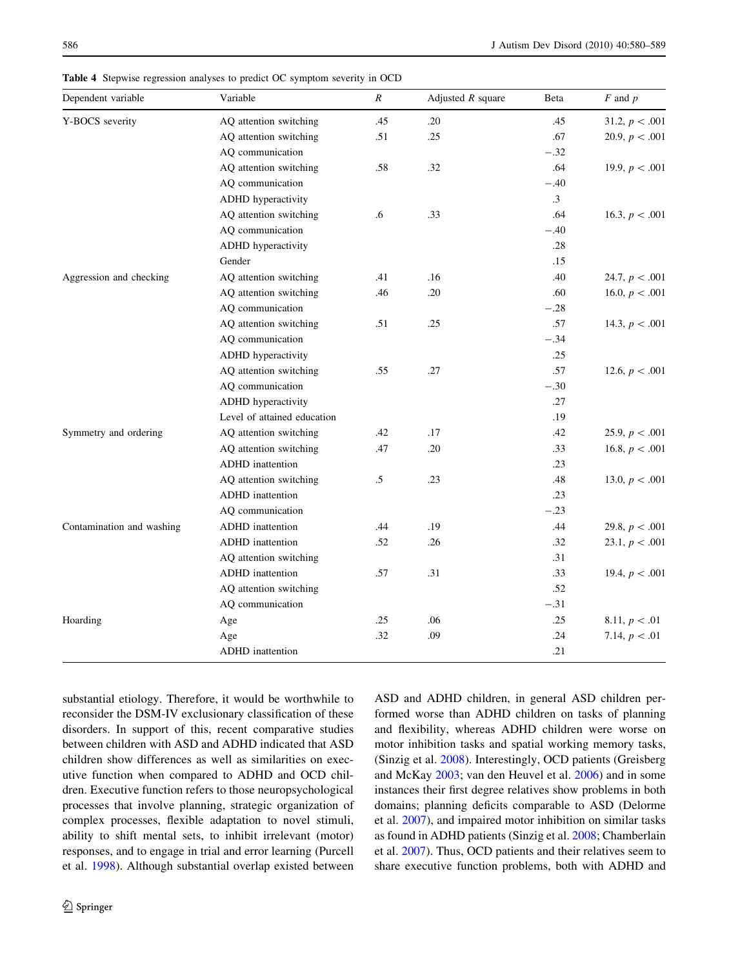| Dependent variable        | Variable                    | $\pmb{R}$ | Adjusted $R$ square | Beta      | $F$ and $p$      |
|---------------------------|-----------------------------|-----------|---------------------|-----------|------------------|
| Y-BOCS severity           | AQ attention switching      | .45       | .20                 | .45       | 31.2, $p < .001$ |
|                           | AQ attention switching      | .51       | .25                 | .67       | 20.9, $p < .001$ |
|                           | AQ communication            |           |                     | $-.32$    |                  |
|                           | AQ attention switching      | .58       | .32                 | .64       | 19.9, $p < .001$ |
|                           | AQ communication            |           |                     | $-.40$    |                  |
|                           | ADHD hyperactivity          |           |                     | $\cdot$ 3 |                  |
|                           | AQ attention switching      | .6        | .33                 | .64       | 16.3, $p < .001$ |
|                           | AQ communication            |           |                     | $-.40$    |                  |
|                           | ADHD hyperactivity          |           |                     | .28       |                  |
|                           | Gender                      |           |                     | .15       |                  |
| Aggression and checking   | AQ attention switching      | .41       | .16                 | .40       | 24.7, $p < .001$ |
|                           | AQ attention switching      | .46       | .20                 | .60       | 16.0, $p < .001$ |
|                           | AQ communication            |           |                     | $-.28$    |                  |
|                           | AQ attention switching      | .51       | .25                 | .57       | 14.3, $p < .001$ |
|                           | AQ communication            |           |                     | $-.34$    |                  |
|                           | ADHD hyperactivity          |           |                     | .25       |                  |
|                           | AQ attention switching      | .55       | .27                 | .57       | 12.6, $p < .001$ |
|                           | AQ communication            |           |                     | $-.30$    |                  |
|                           | ADHD hyperactivity          |           |                     | .27       |                  |
|                           | Level of attained education |           |                     | .19       |                  |
| Symmetry and ordering     | AQ attention switching      | .42       | .17                 | .42       | 25.9, $p < .001$ |
|                           | AQ attention switching      | .47       | .20                 | .33       | 16.8, $p < .001$ |
|                           | ADHD inattention            |           |                     | .23       |                  |
|                           | AQ attention switching      | $.5\,$    | .23                 | .48       | 13.0, $p < .001$ |
|                           | ADHD inattention            |           |                     | .23       |                  |
|                           | AQ communication            |           |                     | $-.23$    |                  |
| Contamination and washing | <b>ADHD</b> inattention     | .44       | .19                 | .44       | 29.8, $p < .001$ |
|                           | ADHD inattention            | .52       | .26                 | .32       | 23.1, $p < .001$ |
|                           | AQ attention switching      |           |                     | .31       |                  |
|                           | ADHD inattention            | .57       | .31                 | .33       | 19.4, $p < .001$ |
|                           | AQ attention switching      |           |                     | .52       |                  |
|                           | AQ communication            |           |                     | $-.31$    |                  |
| Hoarding                  | Age                         | .25       | .06                 | .25       | 8.11, $p < .01$  |
|                           | Age                         | .32       | .09                 | .24       | 7.14, $p < .01$  |
|                           | ADHD inattention            |           |                     | .21       |                  |

<span id="page-6-0"></span>Table 4 Stepwise regression analyses to predict OC symptom severity in OCD

substantial etiology. Therefore, it would be worthwhile to reconsider the DSM-IV exclusionary classification of these disorders. In support of this, recent comparative studies between children with ASD and ADHD indicated that ASD children show differences as well as similarities on executive function when compared to ADHD and OCD children. Executive function refers to those neuropsychological processes that involve planning, strategic organization of complex processes, flexible adaptation to novel stimuli, ability to shift mental sets, to inhibit irrelevant (motor) responses, and to engage in trial and error learning (Purcell et al. [1998\)](#page-9-0). Although substantial overlap existed between ASD and ADHD children, in general ASD children performed worse than ADHD children on tasks of planning and flexibility, whereas ADHD children were worse on motor inhibition tasks and spatial working memory tasks, (Sinzig et al. [2008\)](#page-9-0). Interestingly, OCD patients (Greisberg and McKay [2003;](#page-8-0) van den Heuvel et al. [2006\)](#page-9-0) and in some instances their first degree relatives show problems in both domains; planning deficits comparable to ASD (Delorme et al. [2007\)](#page-8-0), and impaired motor inhibition on similar tasks as found in ADHD patients (Sinzig et al. [2008;](#page-9-0) Chamberlain et al. [2007](#page-8-0)). Thus, OCD patients and their relatives seem to share executive function problems, both with ADHD and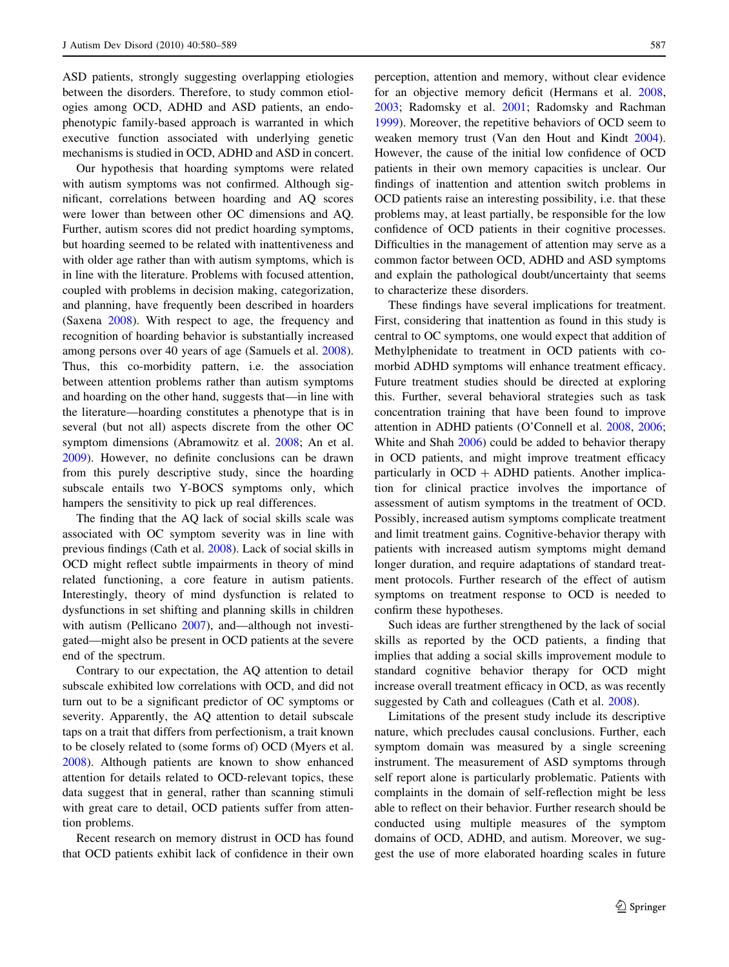ASD patients, strongly suggesting overlapping etiologies between the disorders. Therefore, to study common etiologies among OCD, ADHD and ASD patients, an endophenotypic family-based approach is warranted in which executive function associated with underlying genetic mechanisms is studied in OCD, ADHD and ASD in concert.

Our hypothesis that hoarding symptoms were related with autism symptoms was not confirmed. Although significant, correlations between hoarding and AQ scores were lower than between other OC dimensions and AQ. Further, autism scores did not predict hoarding symptoms, but hoarding seemed to be related with inattentiveness and with older age rather than with autism symptoms, which is in line with the literature. Problems with focused attention, coupled with problems in decision making, categorization, and planning, have frequently been described in hoarders (Saxena [2008](#page-9-0)). With respect to age, the frequency and recognition of hoarding behavior is substantially increased among persons over 40 years of age (Samuels et al. [2008](#page-9-0)). Thus, this co-morbidity pattern, i.e. the association between attention problems rather than autism symptoms and hoarding on the other hand, suggests that—in line with the literature—hoarding constitutes a phenotype that is in several (but not all) aspects discrete from the other OC symptom dimensions (Abramowitz et al. [2008;](#page-8-0) An et al. [2009\)](#page-8-0). However, no definite conclusions can be drawn from this purely descriptive study, since the hoarding subscale entails two Y-BOCS symptoms only, which hampers the sensitivity to pick up real differences.

The finding that the AQ lack of social skills scale was associated with OC symptom severity was in line with previous findings (Cath et al. [2008\)](#page-8-0). Lack of social skills in OCD might reflect subtle impairments in theory of mind related functioning, a core feature in autism patients. Interestingly, theory of mind dysfunction is related to dysfunctions in set shifting and planning skills in children with autism (Pellicano [2007\)](#page-9-0), and—although not investigated—might also be present in OCD patients at the severe end of the spectrum.

Contrary to our expectation, the AQ attention to detail subscale exhibited low correlations with OCD, and did not turn out to be a significant predictor of OC symptoms or severity. Apparently, the AQ attention to detail subscale taps on a trait that differs from perfectionism, a trait known to be closely related to (some forms of) OCD (Myers et al. [2008\)](#page-9-0). Although patients are known to show enhanced attention for details related to OCD-relevant topics, these data suggest that in general, rather than scanning stimuli with great care to detail, OCD patients suffer from attention problems.

Recent research on memory distrust in OCD has found that OCD patients exhibit lack of confidence in their own perception, attention and memory, without clear evidence for an objective memory deficit (Hermans et al. [2008,](#page-8-0) [2003](#page-8-0); Radomsky et al. [2001](#page-9-0); Radomsky and Rachman [1999](#page-9-0)). Moreover, the repetitive behaviors of OCD seem to weaken memory trust (Van den Hout and Kindt [2004](#page-9-0)). However, the cause of the initial low confidence of OCD patients in their own memory capacities is unclear. Our findings of inattention and attention switch problems in OCD patients raise an interesting possibility, i.e. that these problems may, at least partially, be responsible for the low confidence of OCD patients in their cognitive processes. Difficulties in the management of attention may serve as a common factor between OCD, ADHD and ASD symptoms and explain the pathological doubt/uncertainty that seems to characterize these disorders.

These findings have several implications for treatment. First, considering that inattention as found in this study is central to OC symptoms, one would expect that addition of Methylphenidate to treatment in OCD patients with comorbid ADHD symptoms will enhance treatment efficacy. Future treatment studies should be directed at exploring this. Further, several behavioral strategies such as task concentration training that have been found to improve attention in ADHD patients (O'Connell et al. [2008,](#page-9-0) [2006](#page-9-0); White and Shah [2006](#page-9-0)) could be added to behavior therapy in OCD patients, and might improve treatment efficacy particularly in  $OCD + ADHD$  patients. Another implication for clinical practice involves the importance of assessment of autism symptoms in the treatment of OCD. Possibly, increased autism symptoms complicate treatment and limit treatment gains. Cognitive-behavior therapy with patients with increased autism symptoms might demand longer duration, and require adaptations of standard treatment protocols. Further research of the effect of autism symptoms on treatment response to OCD is needed to confirm these hypotheses.

Such ideas are further strengthened by the lack of social skills as reported by the OCD patients, a finding that implies that adding a social skills improvement module to standard cognitive behavior therapy for OCD might increase overall treatment efficacy in OCD, as was recently suggested by Cath and colleagues (Cath et al. [2008](#page-8-0)).

Limitations of the present study include its descriptive nature, which precludes causal conclusions. Further, each symptom domain was measured by a single screening instrument. The measurement of ASD symptoms through self report alone is particularly problematic. Patients with complaints in the domain of self-reflection might be less able to reflect on their behavior. Further research should be conducted using multiple measures of the symptom domains of OCD, ADHD, and autism. Moreover, we suggest the use of more elaborated hoarding scales in future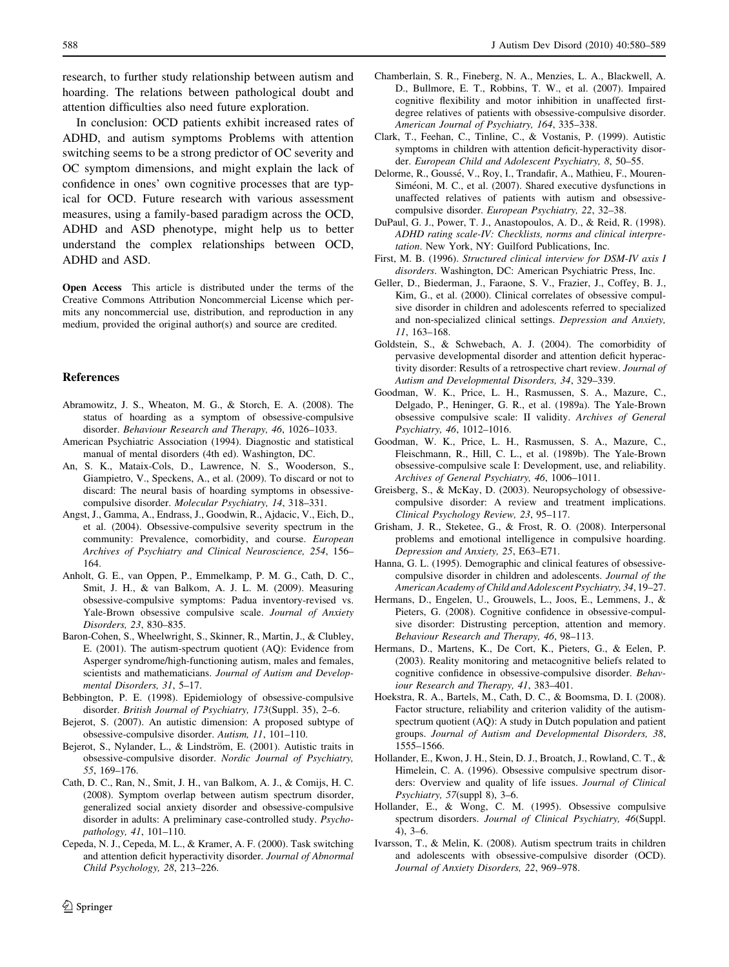<span id="page-8-0"></span>research, to further study relationship between autism and hoarding. The relations between pathological doubt and attention difficulties also need future exploration.

In conclusion: OCD patients exhibit increased rates of ADHD, and autism symptoms Problems with attention switching seems to be a strong predictor of OC severity and OC symptom dimensions, and might explain the lack of confidence in ones' own cognitive processes that are typical for OCD. Future research with various assessment measures, using a family-based paradigm across the OCD, ADHD and ASD phenotype, might help us to better understand the complex relationships between OCD, ADHD and ASD.

Open Access This article is distributed under the terms of the Creative Commons Attribution Noncommercial License which permits any noncommercial use, distribution, and reproduction in any medium, provided the original author(s) and source are credited.

#### References

- Abramowitz, J. S., Wheaton, M. G., & Storch, E. A. (2008). The status of hoarding as a symptom of obsessive-compulsive disorder. Behaviour Research and Therapy, 46, 1026–1033.
- American Psychiatric Association (1994). Diagnostic and statistical manual of mental disorders (4th ed). Washington, DC.
- An, S. K., Mataix-Cols, D., Lawrence, N. S., Wooderson, S., Giampietro, V., Speckens, A., et al. (2009). To discard or not to discard: The neural basis of hoarding symptoms in obsessivecompulsive disorder. Molecular Psychiatry, 14, 318–331.
- Angst, J., Gamma, A., Endrass, J., Goodwin, R., Ajdacic, V., Eich, D., et al. (2004). Obsessive-compulsive severity spectrum in the community: Prevalence, comorbidity, and course. European Archives of Psychiatry and Clinical Neuroscience, 254, 156– 164.
- Anholt, G. E., van Oppen, P., Emmelkamp, P. M. G., Cath, D. C., Smit, J. H., & van Balkom, A. J. L. M. (2009). Measuring obsessive-compulsive symptoms: Padua inventory-revised vs. Yale-Brown obsessive compulsive scale. Journal of Anxiety Disorders, 23, 830–835.
- Baron-Cohen, S., Wheelwright, S., Skinner, R., Martin, J., & Clubley, E. (2001). The autism-spectrum quotient (AQ): Evidence from Asperger syndrome/high-functioning autism, males and females, scientists and mathematicians. Journal of Autism and Developmental Disorders, 31, 5–17.
- Bebbington, P. E. (1998). Epidemiology of obsessive-compulsive disorder. British Journal of Psychiatry, 173(Suppl. 35), 2–6.
- Bejerot, S. (2007). An autistic dimension: A proposed subtype of obsessive-compulsive disorder. Autism, 11, 101–110.
- Bejerot, S., Nylander, L., & Lindström, E. (2001). Autistic traits in obsessive-compulsive disorder. Nordic Journal of Psychiatry, 55, 169–176.
- Cath, D. C., Ran, N., Smit, J. H., van Balkom, A. J., & Comijs, H. C. (2008). Symptom overlap between autism spectrum disorder, generalized social anxiety disorder and obsessive-compulsive disorder in adults: A preliminary case-controlled study. Psychopathology, 41, 101–110.
- Cepeda, N. J., Cepeda, M. L., & Kramer, A. F. (2000). Task switching and attention deficit hyperactivity disorder. Journal of Abnormal Child Psychology, 28, 213–226.
- Chamberlain, S. R., Fineberg, N. A., Menzies, L. A., Blackwell, A. D., Bullmore, E. T., Robbins, T. W., et al. (2007). Impaired cognitive flexibility and motor inhibition in unaffected firstdegree relatives of patients with obsessive-compulsive disorder. American Journal of Psychiatry, 164, 335–338.
- Clark, T., Feehan, C., Tinline, C., & Vostanis, P. (1999). Autistic symptoms in children with attention deficit-hyperactivity disorder. European Child and Adolescent Psychiatry, 8, 50–55.
- Delorme, R., Goussé, V., Roy, I., Trandafir, A., Mathieu, F., Mouren-Siméoni, M. C., et al. (2007). Shared executive dysfunctions in unaffected relatives of patients with autism and obsessivecompulsive disorder. European Psychiatry, 22, 32–38.
- DuPaul, G. J., Power, T. J., Anastopoulos, A. D., & Reid, R. (1998). ADHD rating scale-IV: Checklists, norms and clinical interpretation. New York, NY: Guilford Publications, Inc.
- First, M. B. (1996). Structured clinical interview for DSM-IV axis I disorders. Washington, DC: American Psychiatric Press, Inc.
- Geller, D., Biederman, J., Faraone, S. V., Frazier, J., Coffey, B. J., Kim, G., et al. (2000). Clinical correlates of obsessive compulsive disorder in children and adolescents referred to specialized and non-specialized clinical settings. Depression and Anxiety, 11, 163–168.
- Goldstein, S., & Schwebach, A. J. (2004). The comorbidity of pervasive developmental disorder and attention deficit hyperactivity disorder: Results of a retrospective chart review. Journal of Autism and Developmental Disorders, 34, 329–339.
- Goodman, W. K., Price, L. H., Rasmussen, S. A., Mazure, C., Delgado, P., Heninger, G. R., et al. (1989a). The Yale-Brown obsessive compulsive scale: II validity. Archives of General Psychiatry, 46, 1012–1016.
- Goodman, W. K., Price, L. H., Rasmussen, S. A., Mazure, C., Fleischmann, R., Hill, C. L., et al. (1989b). The Yale-Brown obsessive-compulsive scale I: Development, use, and reliability. Archives of General Psychiatry, 46, 1006–1011.
- Greisberg, S., & McKay, D. (2003). Neuropsychology of obsessivecompulsive disorder: A review and treatment implications. Clinical Psychology Review, 23, 95–117.
- Grisham, J. R., Steketee, G., & Frost, R. O. (2008). Interpersonal problems and emotional intelligence in compulsive hoarding. Depression and Anxiety, 25, E63–E71.
- Hanna, G. L. (1995). Demographic and clinical features of obsessivecompulsive disorder in children and adolescents. Journal of the American Academy of Child and Adolescent Psychiatry, 34, 19–27.
- Hermans, D., Engelen, U., Grouwels, L., Joos, E., Lemmens, J., & Pieters, G. (2008). Cognitive confidence in obsessive-compulsive disorder: Distrusting perception, attention and memory. Behaviour Research and Therapy, 46, 98–113.
- Hermans, D., Martens, K., De Cort, K., Pieters, G., & Eelen, P. (2003). Reality monitoring and metacognitive beliefs related to cognitive confidence in obsessive-compulsive disorder. Behaviour Research and Therapy, 41, 383–401.
- Hoekstra, R. A., Bartels, M., Cath, D. C., & Boomsma, D. I. (2008). Factor structure, reliability and criterion validity of the autismspectrum quotient (AQ): A study in Dutch population and patient groups. Journal of Autism and Developmental Disorders, 38, 1555–1566.
- Hollander, E., Kwon, J. H., Stein, D. J., Broatch, J., Rowland, C. T., & Himelein, C. A. (1996). Obsessive compulsive spectrum disorders: Overview and quality of life issues. Journal of Clinical Psychiatry, 57(suppl 8), 3–6.
- Hollander, E., & Wong, C. M. (1995). Obsessive compulsive spectrum disorders. Journal of Clinical Psychiatry, 46(Suppl. 4), 3–6.
- Ivarsson, T., & Melin, K. (2008). Autism spectrum traits in children and adolescents with obsessive-compulsive disorder (OCD). Journal of Anxiety Disorders, 22, 969–978.